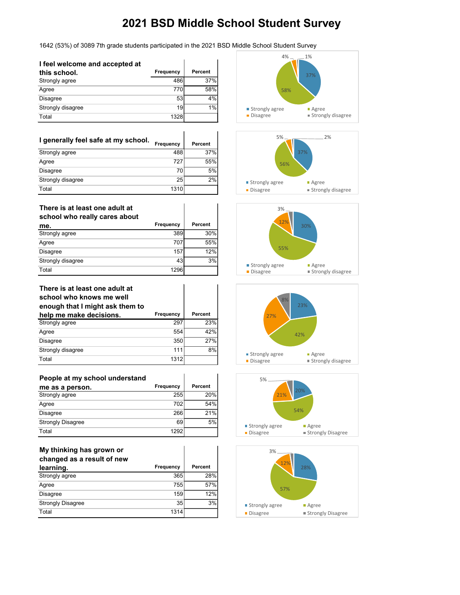1642 (53%) of 3089 7th grade students participated in the 2021 BSD Middle School Student Survey

 $\mathbf{r}$ 

 $\mathbf{r}$ 

| I feel welcome and accepted at |           |         |
|--------------------------------|-----------|---------|
| this school.                   | Frequency | Percent |
| Strongly agree                 | 486       | 37%     |
| Agree                          | 770       | 58%     |
| <b>Disagree</b>                | 53        | 4%      |
| Strongly disagree              | 19        | 1%      |
| Total                          | 1328      |         |

| I generally feel safe at my school. | Frequency | Percent |
|-------------------------------------|-----------|---------|
| Strongly agree                      | 488       | 37%     |
| Agree                               | 727       | 55%     |
| Disagree                            | 70        | 5%      |
| Strongly disagree                   | 25        | 2%      |
| Total                               | 1310      |         |

| There is at least one adult at<br>school who really cares about |           |         |
|-----------------------------------------------------------------|-----------|---------|
| me.                                                             | Frequency | Percent |
| Strongly agree                                                  | 389       | 30%     |
| Agree                                                           | 707       | 55%     |
| <b>Disagree</b>                                                 | 157       | 12%     |
| Strongly disagree                                               | 43        | 3%      |
| Total                                                           | 1296      |         |

#### **There is at least one adult at school who knows me well enough that I might ask them to**

| <u>onoagu tuat i might aon thom to</u> |           |         |
|----------------------------------------|-----------|---------|
| help me make decisions.                | Frequency | Percent |
| Strongly agree                         | 297       | 23%     |
| Agree                                  | 554       | 42%     |
| Disagree                               | 350       | 27%     |
| Strongly disagree                      | 111       | 8%      |
| Total                                  | 1312      |         |

| People at my school understand |           |         |
|--------------------------------|-----------|---------|
| me as a person.                | Frequency | Percent |
| Strongly agree                 | 255       | 20%     |
| Agree                          | 702       | 54%     |
| <b>Disagree</b>                | 266       | 21%     |
| <b>Strongly Disagree</b>       | 69        | 5%      |
| Total                          | 1292      |         |

| My thinking has grown or<br>changed as a result of new |                  |                |
|--------------------------------------------------------|------------------|----------------|
| learning.                                              | <b>Frequency</b> | <b>Percent</b> |
| Strongly agree                                         | 365              | 28%            |
| Agree                                                  | 755              | 57%            |
| <b>Disagree</b>                                        | 159              | 12%            |
| <b>Strongly Disagree</b>                               | 35               | 3%             |
| Total                                                  | 1314             |                |











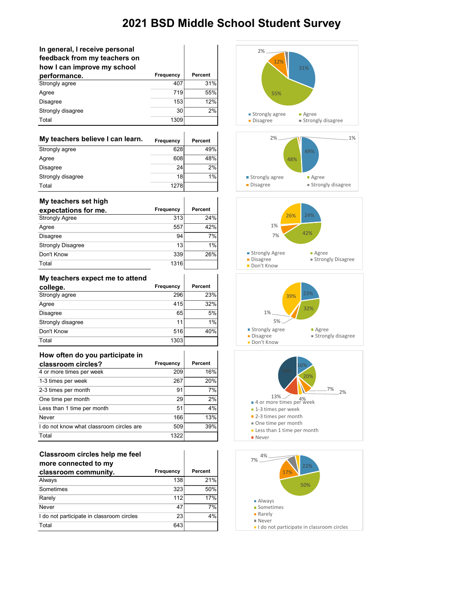| In general, I receive personal<br>feedback from my teachers on<br>how I can improve my school | <b>Frequency</b> | Percent        |
|-----------------------------------------------------------------------------------------------|------------------|----------------|
| performance.<br>Strongly agree                                                                | 407              | 31%            |
| Agree                                                                                         | 719              | 55%            |
|                                                                                               | 153              | 12%            |
| Disagree                                                                                      | 30               | 2%             |
| Strongly disagree<br>Total                                                                    |                  |                |
|                                                                                               | 1309             |                |
| My teachers believe I can learn.                                                              | Frequency        | <b>Percent</b> |
| Strongly agree                                                                                | 628              | 49%            |
| Agree                                                                                         | 608              | 48%            |
| Disagree                                                                                      | 24               | 2%             |
| Strongly disagree                                                                             | 18               | 1%             |
| Total                                                                                         | 1278             |                |
| My teachers set high<br>expectations for me.                                                  | Frequency        | Percent        |
| <b>Strongly Agree</b>                                                                         | 313              | 24%            |
| Agree                                                                                         | 557              | 42%            |
| Disagree                                                                                      | 94               | 7%             |
| <b>Strongly Disagree</b>                                                                      | 13               | 1%             |
| Don't Know                                                                                    | 339              | 26%            |
| Total                                                                                         | 1316             |                |
| My teachers expect me to attend<br>college.                                                   | Frequency        | <b>Percent</b> |
| Strongly agree                                                                                | 296              | 23%            |
| Agree                                                                                         | 415              | 32%            |
| Disagree                                                                                      | 65               | 5%             |
| Strongly disagree                                                                             | 11               | $1\%$          |
| Don't Know                                                                                    | 516              | 40%            |
| Total                                                                                         | 1303             |                |
| How often do you participate in<br>classroom circles?                                         | Frequency        | <b>Percent</b> |
| 4 or more times per week                                                                      | 209              | 16%            |
| 1-3 times per week                                                                            | 267              | 20%            |
| 2-3 times per month                                                                           | 91               | 7%             |
| One time per month                                                                            | 29               | 2%             |
| Less than 1 time per month                                                                    | 51               | 4%             |
| Never                                                                                         | 166              | 13%            |
| I do not know what classroom circles are                                                      | 509              | 39%            |
| Total                                                                                         | 1322             |                |
|                                                                                               |                  |                |

| Classroom circles help me feel |  |
|--------------------------------|--|
| more connected to my           |  |
|                                |  |

| classroom community.                      | <b>Frequency</b> | Percent |
|-------------------------------------------|------------------|---------|
| Always                                    | 138              | 21%     |
| Sometimes                                 | 323              | 50%     |
| Rarely                                    | 112              | 17%     |
| Never                                     | 47               | 7%      |
| I do not participate in classroom circles | 23               | 4%      |
| Total                                     | 643              |         |



- Less than 1 time per month
- **Never**

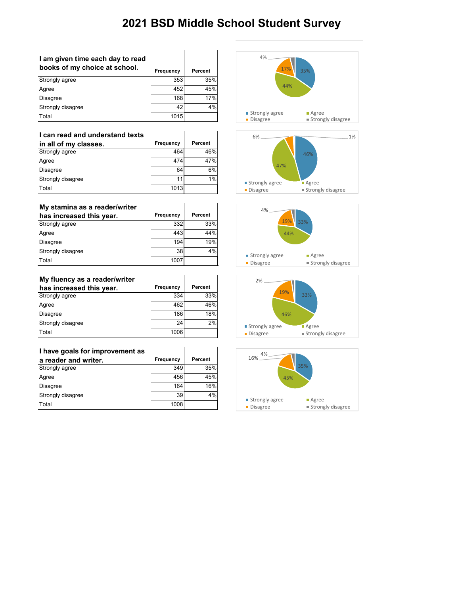| I am given time each day to read<br>books of my choice at school. | Frequency | <b>Percent</b> |
|-------------------------------------------------------------------|-----------|----------------|
| Strongly agree                                                    | 353       | 35%            |
| Agree                                                             | 452       | 45%            |
| <b>Disagree</b>                                                   | 168       | 17%            |
| Strongly disagree                                                 | 42        | 4%             |
| Total                                                             | 1015      |                |

| I can read and understand texts |                  |         |
|---------------------------------|------------------|---------|
| in all of my classes.           | <b>Frequency</b> | Percent |
| Strongly agree                  | 464              | 46%     |
| Agree                           | 474              | 47%     |
| <b>Disagree</b>                 | 64               | 6%      |
| Strongly disagree               | 11               | 1%      |
| Total                           | 1013             |         |

### **My stamina as a reader/writer**

| My stamina as a reader/writer |           |         |
|-------------------------------|-----------|---------|
| has increased this year.      | Frequency | Percent |
| Strongly agree                | 332       | 33%     |
| Agree                         | 443       | 44%     |
| <b>Disagree</b>               | 194       | 19%     |
| Strongly disagree             | 38        | 4%      |
| Total                         | 1007      |         |

 $\overline{\phantom{a}}$ 

 $\overline{\phantom{a}}$ 

i.

### **My fluency as a reader/writer**

| has increased this year. | <b>Frequency</b> | <b>Percent</b> |
|--------------------------|------------------|----------------|
| Strongly agree           | 334              | 33%l           |
| Agree                    | 462              | 46%            |
| <b>Disagree</b>          | 186              | 18%            |
| Strongly disagree        | 24               | 2%             |
| Total                    | 1006             |                |

| I have goals for improvement as |           |         |
|---------------------------------|-----------|---------|
| a reader and writer.            | Frequency | Percent |
| Strongly agree                  | 349       | 35%     |
| Agree                           | 456       | 45%     |
| <b>Disagree</b>                 | 164       | 16%     |
| Strongly disagree               | 39        | 4%      |
| Total                           | 1008      |         |









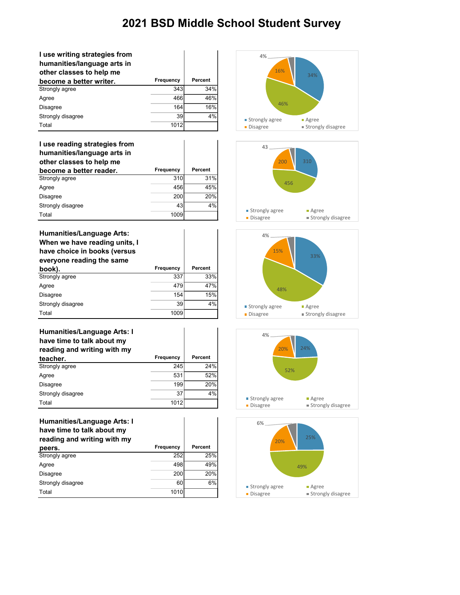| I use writing strategies from<br>humanities/language arts in<br>other classes to help me |           |         |
|------------------------------------------------------------------------------------------|-----------|---------|
| become a better writer.                                                                  | Frequency | Percent |
| Strongly agree                                                                           | 343       | 34%     |
| Agree                                                                                    | 466       | 46%     |
| <b>Disagree</b>                                                                          | 164       | 16%     |
| Strongly disagree                                                                        | 39        | 4%      |
| Total                                                                                    | 1012      |         |

### **I use reading strategies from**

| humanities/language arts in<br>other classes to help me |           |         |
|---------------------------------------------------------|-----------|---------|
| become a better reader.                                 | Frequency | Percent |
| Strongly agree                                          | 310       | 31%     |
| Agree                                                   | 456       | 45%     |
| Disagree                                                | 200       | 20%     |
| Strongly disagree                                       | 43        | 4%      |
| Total                                                   | 1009      |         |

 $\overline{\phantom{a}}$ 

 $\overline{\phantom{a}}$ 

| <b>Humanities/Language Arts:</b><br>When we have reading units, I<br>have choice in books (versus<br>everyone reading the same |           |         |
|--------------------------------------------------------------------------------------------------------------------------------|-----------|---------|
| book).                                                                                                                         | Frequency | Percent |
| Strongly agree                                                                                                                 | 337       | 33%     |
| Agree                                                                                                                          | 479       | 47%     |
| <b>Disagree</b>                                                                                                                | 154       | 15%     |
| Strongly disagree                                                                                                              | 39        | 4%      |
| Total                                                                                                                          | 1009      |         |

| <b>Humanities/Language Arts: I</b> |           |                |
|------------------------------------|-----------|----------------|
| have time to talk about my         |           |                |
| reading and writing with my        |           |                |
| teacher.                           | Frequency | <b>Percent</b> |
| Strongly agree                     | 245       | 24%            |
| Agree                              | 531       | 52%            |
| <b>Disagree</b>                    | 199       | 20%            |
| Strongly disagree                  | 37        | 4%             |
| Total                              | 1012      |                |

### **Humanities/Language Arts: I have time to talk about my reading and writing with my**

| . .<br>peers.     | <b>Frequency</b> | <b>Percent</b> |
|-------------------|------------------|----------------|
| Strongly agree    | 252              | 25%            |
| Agree             | 498              | 49%            |
| Disagree          | 200              | 20%            |
| Strongly disagree | 60               | 6%             |
| Total             | 1010             |                |









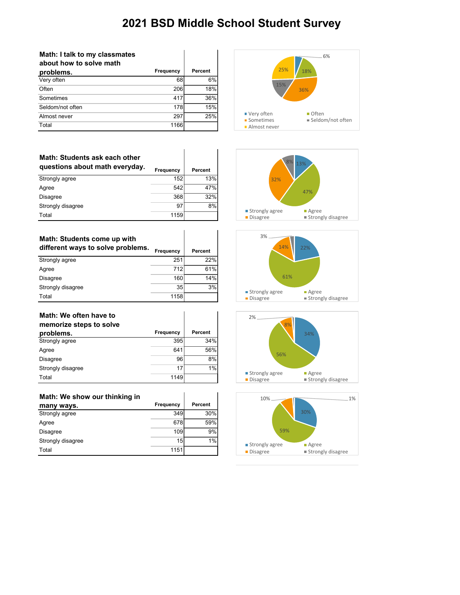| Math: I talk to my classmates<br>about how to solve math |           |         |
|----------------------------------------------------------|-----------|---------|
| problems.                                                | Frequency | Percent |
| Very often                                               | 68        | 6%      |
| Often                                                    | 206       | 18%     |
| Sometimes                                                | 417       | 36%     |
| Seldom/not often                                         | 178       | 15%     |
| Almost never                                             | 297       | 25%     |
| Total                                                    | 1166      |         |

| Math: Students ask each other<br>questions about math everyday. | <b>Frequency</b> | Percent |
|-----------------------------------------------------------------|------------------|---------|
| Strongly agree                                                  | 152              | 13%     |
| Agree                                                           | 542              | 47%     |
| <b>Disagree</b>                                                 | 368              | 32%     |
| Strongly disagree                                               | 97               | 8%      |
| Total                                                           | 1159             |         |

| Math: Students come up with<br>different ways to solve problems. | <b>Frequency</b> | Percent |
|------------------------------------------------------------------|------------------|---------|
| Strongly agree                                                   | 251              | 22%     |
| Agree                                                            | 712              | 61%     |
| <b>Disagree</b>                                                  | 160              | 14%     |
| Strongly disagree                                                | 35               | 3%      |
| Total                                                            | 1158             |         |

| Math: We often have to<br>memorize steps to solve |           |                |
|---------------------------------------------------|-----------|----------------|
| problems.                                         | Frequency | <b>Percent</b> |
| Strongly agree                                    | 395       | 34%            |
| Agree                                             | 641       | 56%            |
| <b>Disagree</b>                                   | 96        | 8%             |
| Strongly disagree                                 | 17        | 1%             |
| Total                                             | 1149      |                |

| Math: We show our thinking in |           |         |
|-------------------------------|-----------|---------|
| many ways.                    | Frequency | Percent |
| Strongly agree                | 349       | 30%     |
| Agree                         | 678       | 59%     |
| Disagree                      | 109       | 9%      |
| Strongly disagree             | 15        | 1%      |
| Total                         | 1151      |         |









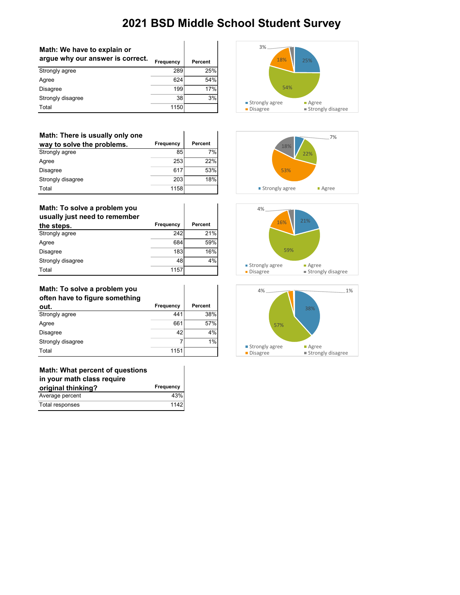| Math: We have to explain or<br>argue why our answer is correct. | Frequency | Percent |
|-----------------------------------------------------------------|-----------|---------|
| Strongly agree                                                  | 289       | 25%     |
| Agree                                                           | 624       | 54%     |
| <b>Disagree</b>                                                 | 199       | 17%     |
| Strongly disagree                                               | 38        | 3%      |
| Total                                                           | 1150      |         |

| Math: There is usually only one |                  |         |
|---------------------------------|------------------|---------|
| way to solve the problems.      | <b>Frequency</b> | Percent |
| Strongly agree                  | 85               | 7%      |
| Agree                           | 253              | 22%     |
| <b>Disagree</b>                 | 617              | 53%     |
| Strongly disagree               | 203              | 18%     |
| Total                           | 1158             |         |

### **Math: To solve a problem you**

| usually just need to remember |           |         |
|-------------------------------|-----------|---------|
| the steps.                    | Frequency | Percent |
| Strongly agree                | 242       | 21%     |
| Agree                         | 684       | 59%     |
| Disagree                      | 183       | 16%     |
| Strongly disagree             | 48        | 4%      |
| Total                         | 1157      |         |

 $\overline{\phantom{a}}$ 

 $\overline{\phantom{a}}$ 

 $\overline{\phantom{a}}$ 

 $\overline{\phantom{a}}$ 

### **Math: To solve a problem you**

| often have to figure something |           |                |
|--------------------------------|-----------|----------------|
| out.                           | Frequency | <b>Percent</b> |
| Strongly agree                 | 441       | 38%            |
| Agree                          | 661       | 57%            |
| <b>Disagree</b>                | 42        | 4%             |
| Strongly disagree              | 7         | 1%             |
| Total                          | 1151      |                |

### **Math: What percent of questions**

| in your math class require |           |
|----------------------------|-----------|
| original thinking?         | Frequency |
| Average percent            | 43%       |
| Total responses            | 1142      |







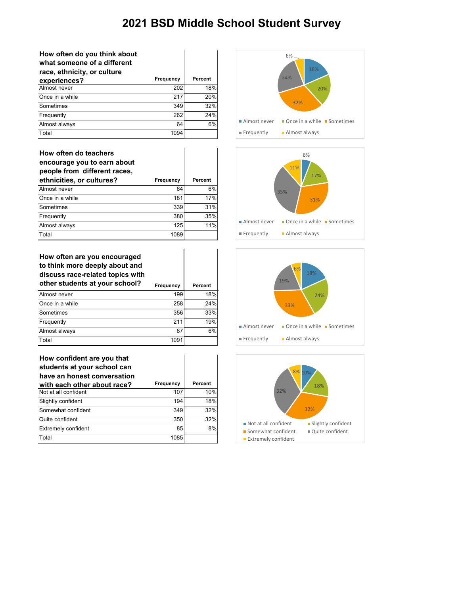| How often do you think about<br>what someone of a different<br>race, ethnicity, or culture |           |         |
|--------------------------------------------------------------------------------------------|-----------|---------|
| experiences?                                                                               | Frequency | Percent |
| Almost never                                                                               | 202       | 18%     |
| Once in a while                                                                            | 217       | 20%     |
| Sometimes                                                                                  | 349       | 32%     |
| Frequently                                                                                 | 262       | 24%     |
| Almost always                                                                              | 64        | 6%      |
| Total                                                                                      | 1094      |         |

| How often do teachers<br>encourage you to earn about<br>people from different races,<br>ethnicities, or cultures? | Frequency | <b>Percent</b> |
|-------------------------------------------------------------------------------------------------------------------|-----------|----------------|
| Almost never                                                                                                      | 64        | 6%             |
| Once in a while                                                                                                   | 181       | 17%            |
| Sometimes                                                                                                         | 339       | 31%            |
| Frequently                                                                                                        | 380       | 35%            |
| Almost always                                                                                                     | 125       | 11%            |
| Total                                                                                                             | 1089      |                |

### **How often are you encouraged to think more deeply about and discuss race-related topics with other students at your school? Frequency Percent**

|                 | <u></u> | .   |
|-----------------|---------|-----|
| Almost never    | 199     | 18% |
| Once in a while | 258     | 24% |
| Sometimes       | 356     | 33% |
| Frequently      | 211     | 19% |
| Almost always   | 67      | 6%  |
| Total           | 1091    |     |

| How confident are you that<br>students at your school can<br>have an honest conversation |           |         |
|------------------------------------------------------------------------------------------|-----------|---------|
| with each other about race?                                                              | Frequency | Percent |
| Not at all confident                                                                     | 107       | 10%     |
| Slightly confident                                                                       | 194       | 18%     |
| Somewhat confident                                                                       | 349       | 32%     |
| Quite confident                                                                          | 350       | 32%     |
| <b>Extremely confident</b>                                                               | 85        | 8%      |
| Total                                                                                    | 1085      |         |







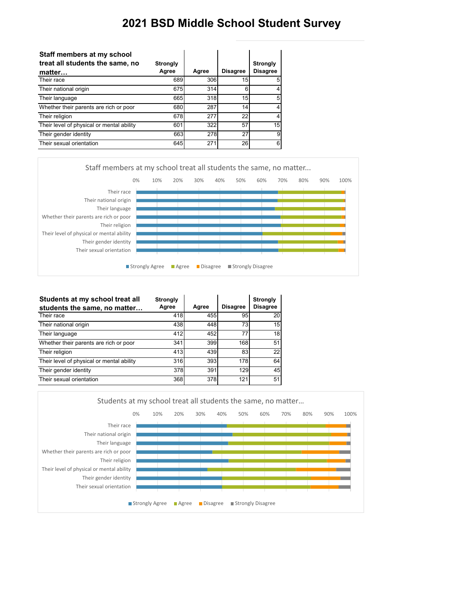| Staff members at my school<br>treat all students the same, no | <b>Strongly</b> |       |                 | <b>Strongly</b> |
|---------------------------------------------------------------|-----------------|-------|-----------------|-----------------|
| matter                                                        | Agree           | Agree | <b>Disagree</b> | <b>Disagree</b> |
| Their race                                                    | 689             | 306   | 15              | 5               |
| Their national origin                                         | 675             | 314   | 6               |                 |
| Their language                                                | 665             | 318   | 15              | 5               |
| Whether their parents are rich or poor                        | 680             | 287   | 14              | 4               |
| Their religion                                                | 678             | 277   | 22              | 4               |
| Their level of physical or mental ability                     | 601             | 322   | 57              | 15              |
| Their gender identity                                         | 663             | 278   | 27              | 9               |
| Their sexual orientation                                      | 645             | 271   | 26              | 6               |



| Students at my school treat all<br>students the same, no matter | <b>Strongly</b><br>Agree | Agree | <b>Disagree</b> | <b>Strongly</b><br><b>Disagree</b> |
|-----------------------------------------------------------------|--------------------------|-------|-----------------|------------------------------------|
| Their race                                                      | 418                      | 455   | 95              | 20                                 |
| Their national origin                                           | 438                      | 448   | 73              | 15                                 |
| Their language                                                  | 412                      | 452   | 77              | 18                                 |
| Whether their parents are rich or poor                          | 341                      | 399   | 168             | 51                                 |
| Their religion                                                  | 413                      | 439   | 83              | 22                                 |
| Their level of physical or mental ability                       | 316                      | 393   | 178             | 64                                 |
| Their gender identity                                           | 378                      | 391   | 129             | 45                                 |
| Their sexual orientation                                        | 368                      | 378   | 121             | 51                                 |

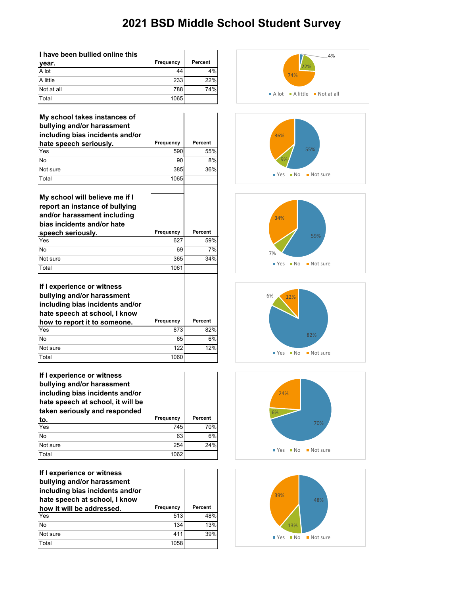| I have been bullied online this |                  |                |
|---------------------------------|------------------|----------------|
| year.                           | <b>Frequency</b> | <b>Percent</b> |
| A lot                           | 44               | 4%             |
| A little                        | 233              | 22%            |
| Not at all                      | 788              | 74%            |
| Total                           | 1065             |                |

| My school takes instances of<br>bullying and/or harassment |           |                |
|------------------------------------------------------------|-----------|----------------|
| including bias incidents and/or                            |           |                |
| hate speech seriously.                                     | Frequency | Percent        |
| Yes                                                        | 590       | 55%            |
| <b>No</b>                                                  | 90        | 8%             |
| Not sure                                                   | 385       | 36%            |
| Total                                                      | 1065      |                |
|                                                            |           |                |
| My school will believe me if I                             |           |                |
| report an instance of bullying                             |           |                |
| and/or harassment including                                |           |                |
| bias incidents and/or hate                                 |           |                |
| speech seriously.                                          | Frequency | <b>Percent</b> |
| Yes                                                        | 627       | 59%            |
| <b>No</b>                                                  | 69        | 7%             |
| Not sure                                                   | 365       | 34%            |
| Total                                                      | 1061      |                |
|                                                            |           |                |
| If I experience or witness                                 |           |                |
| bullying and/or harassment                                 |           |                |
| including bias incidents and/or                            |           |                |
| hate speech at school, I know                              |           |                |
| how to report it to someone.                               | Frequency | <b>Percent</b> |
| Yes                                                        | 873       | 82%            |
| <b>No</b>                                                  | 65        | 6%             |
| Not sure                                                   | 122       | 12%            |
|                                                            |           |                |

| If I experience or witness<br>bullying and/or harassment<br>including bias incidents and/or<br>hate speech at school, it will be<br>taken seriously and responded |                  |         |
|-------------------------------------------------------------------------------------------------------------------------------------------------------------------|------------------|---------|
|                                                                                                                                                                   | <b>Frequency</b> | Percent |
|                                                                                                                                                                   |                  |         |
| <u>to.</u><br>Yes                                                                                                                                                 | 745              | 70%     |
| No                                                                                                                                                                | 63               | 6%      |
| Not sure                                                                                                                                                          | 254              | 24%     |

Total 1060

| If I experience or witness<br>bullying and/or harassment<br>including bias incidents and/or<br>hate speech at school, I know |           |         |
|------------------------------------------------------------------------------------------------------------------------------|-----------|---------|
| how it will be addressed.                                                                                                    | Frequency | Percent |
| Yes                                                                                                                          | 513       | 48%     |
| <b>No</b>                                                                                                                    | 134       | 13%     |
| Not sure                                                                                                                     | 411       | 39%     |
| Total                                                                                                                        | 1058      |         |











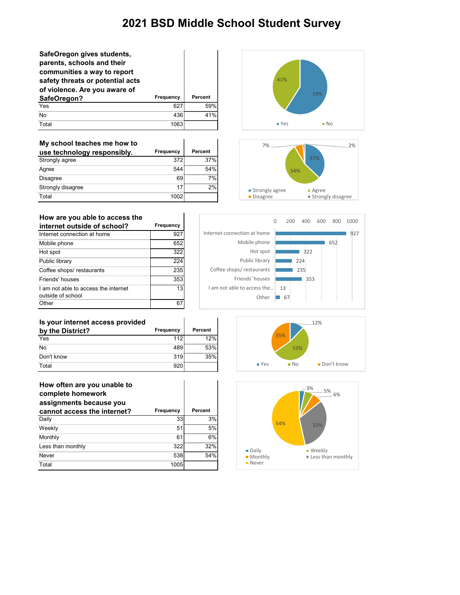| SafeOregon gives students,<br>parents, schools and their<br>communities a way to report<br>safety threats or potential acts<br>of violence. Are you aware of<br>SafeOregon? | Frequency | Percent |
|-----------------------------------------------------------------------------------------------------------------------------------------------------------------------------|-----------|---------|
| Yes                                                                                                                                                                         | 627       | 59%     |
| No                                                                                                                                                                          | 436       | 41%     |
| Total                                                                                                                                                                       | 1063      |         |

| My school teaches me how to |                  |         |
|-----------------------------|------------------|---------|
| use technology responsibly. | <b>Frequency</b> | Percent |
| Strongly agree              | 372              | 37%     |
| Agree                       | 544              | 54%     |
| <b>Disagree</b>             | 69               | 7%      |
| Strongly disagree           | 17               | 2%      |
| Total                       | 1002             |         |

 $\mathbf{r}$ 





| How are you able to access the                            |           |
|-----------------------------------------------------------|-----------|
| internet outside of school?                               | Frequency |
| Internet connection at home                               | 927       |
| Mobile phone                                              | 652       |
| Hot spot                                                  | 322       |
| Public library                                            | 224       |
| Coffee shops/ restaurants                                 | 235       |
| Friends' houses                                           | 353       |
| I am not able to access the internet<br>outside of school | 13        |
| Other                                                     |           |



| Is your internet access provided |           |         |
|----------------------------------|-----------|---------|
| by the District?                 | Frequency | Percent |
| Yes                              | 112       | 12%     |
| <b>No</b>                        | 489       | 53%     |
| Don't know                       | 319       | 35%     |
| Total                            | 920       |         |

| How often are you unable to<br>complete homework<br>assignments because you |           |                |
|-----------------------------------------------------------------------------|-----------|----------------|
| cannot access the internet?                                                 | Frequency | <b>Percent</b> |
| Daily                                                                       | 33        | 3%             |
| Weekly                                                                      | 51        | 5%             |
| Monthly                                                                     | 61        | 6%             |
| Less than monthly                                                           | 322       | 32%            |
| Never                                                                       | 538       | 54%            |
| Total                                                                       | 1005      |                |